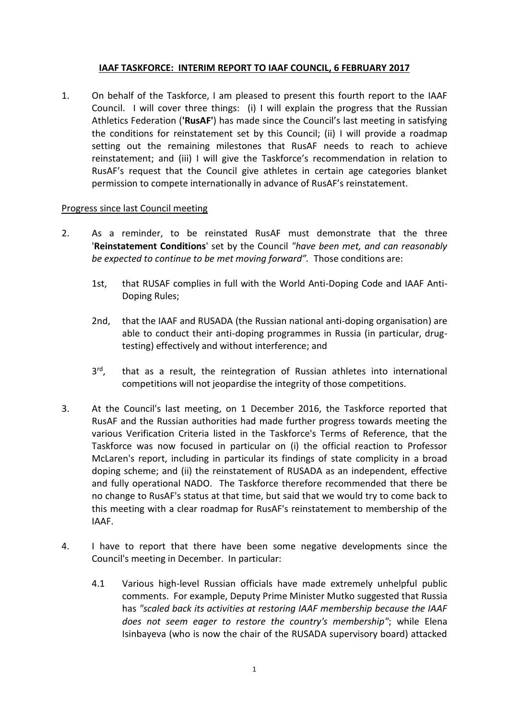## **IAAF TASKFORCE: INTERIM REPORT TO IAAF COUNCIL, 6 FEBRUARY 2017**

1. On behalf of the Taskforce, I am pleased to present this fourth report to the IAAF Council. I will cover three things: (i) I will explain the progress that the Russian Athletics Federation (**'RusAF'**) has made since the Council's last meeting in satisfying the conditions for reinstatement set by this Council; (ii) I will provide a roadmap setting out the remaining milestones that RusAF needs to reach to achieve reinstatement; and (iii) I will give the Taskforce's recommendation in relation to RusAF's request that the Council give athletes in certain age categories blanket permission to compete internationally in advance of RusAF's reinstatement.

## Progress since last Council meeting

- 2. As a reminder, to be reinstated RusAF must demonstrate that the three '**Reinstatement Conditions**' set by the Council *"have been met, and can reasonably be expected to continue to be met moving forward".* Those conditions are:
	- 1st, that RUSAF complies in full with the World Anti-Doping Code and IAAF Anti-Doping Rules;
	- 2nd, that the IAAF and RUSADA (the Russian national anti-doping organisation) are able to conduct their anti-doping programmes in Russia (in particular, drugtesting) effectively and without interference; and
	- 3 rd that as a result, the reintegration of Russian athletes into international competitions will not jeopardise the integrity of those competitions.
- 3. At the Council's last meeting, on 1 December 2016, the Taskforce reported that RusAF and the Russian authorities had made further progress towards meeting the various Verification Criteria listed in the Taskforce's Terms of Reference, that the Taskforce was now focused in particular on (i) the official reaction to Professor McLaren's report, including in particular its findings of state complicity in a broad doping scheme; and (ii) the reinstatement of RUSADA as an independent, effective and fully operational NADO. The Taskforce therefore recommended that there be no change to RusAF's status at that time, but said that we would try to come back to this meeting with a clear roadmap for RusAF's reinstatement to membership of the IAAF.
- 4. I have to report that there have been some negative developments since the Council's meeting in December. In particular:
	- 4.1 Various high-level Russian officials have made extremely unhelpful public comments. For example, Deputy Prime Minister Mutko suggested that Russia has *"scaled back its activities at restoring IAAF membership because the IAAF does not seem eager to restore the country's membership"*; while Elena Isinbayeva (who is now the chair of the RUSADA supervisory board) attacked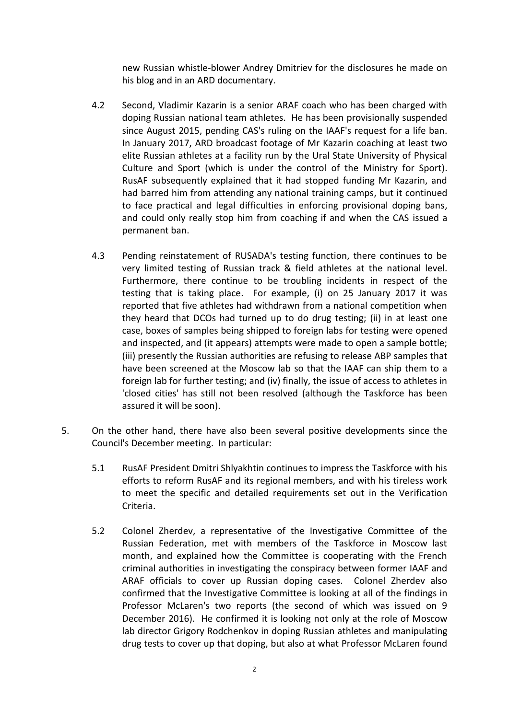new Russian whistle-blower Andrey Dmitriev for the disclosures he made on his blog and in an ARD documentary.

- 4.2 Second, Vladimir Kazarin is a senior ARAF coach who has been charged with doping Russian national team athletes. He has been provisionally suspended since August 2015, pending CAS's ruling on the IAAF's request for a life ban. In January 2017, ARD broadcast footage of Mr Kazarin coaching at least two elite Russian athletes at a facility run by the Ural State University of Physical Culture and Sport (which is under the control of the Ministry for Sport). RusAF subsequently explained that it had stopped funding Mr Kazarin, and had barred him from attending any national training camps, but it continued to face practical and legal difficulties in enforcing provisional doping bans, and could only really stop him from coaching if and when the CAS issued a permanent ban.
- 4.3 Pending reinstatement of RUSADA's testing function, there continues to be very limited testing of Russian track & field athletes at the national level. Furthermore, there continue to be troubling incidents in respect of the testing that is taking place. For example, (i) on 25 January 2017 it was reported that five athletes had withdrawn from a national competition when they heard that DCOs had turned up to do drug testing; (ii) in at least one case, boxes of samples being shipped to foreign labs for testing were opened and inspected, and (it appears) attempts were made to open a sample bottle; (iii) presently the Russian authorities are refusing to release ABP samples that have been screened at the Moscow lab so that the IAAF can ship them to a foreign lab for further testing; and (iv) finally, the issue of access to athletes in 'closed cities' has still not been resolved (although the Taskforce has been assured it will be soon).
- 5. On the other hand, there have also been several positive developments since the Council's December meeting. In particular:
	- 5.1 RusAF President Dmitri Shlyakhtin continues to impress the Taskforce with his efforts to reform RusAF and its regional members, and with his tireless work to meet the specific and detailed requirements set out in the Verification Criteria.
	- 5.2 Colonel Zherdev, a representative of the Investigative Committee of the Russian Federation, met with members of the Taskforce in Moscow last month, and explained how the Committee is cooperating with the French criminal authorities in investigating the conspiracy between former IAAF and ARAF officials to cover up Russian doping cases. Colonel Zherdev also confirmed that the Investigative Committee is looking at all of the findings in Professor McLaren's two reports (the second of which was issued on 9 December 2016). He confirmed it is looking not only at the role of Moscow lab director Grigory Rodchenkov in doping Russian athletes and manipulating drug tests to cover up that doping, but also at what Professor McLaren found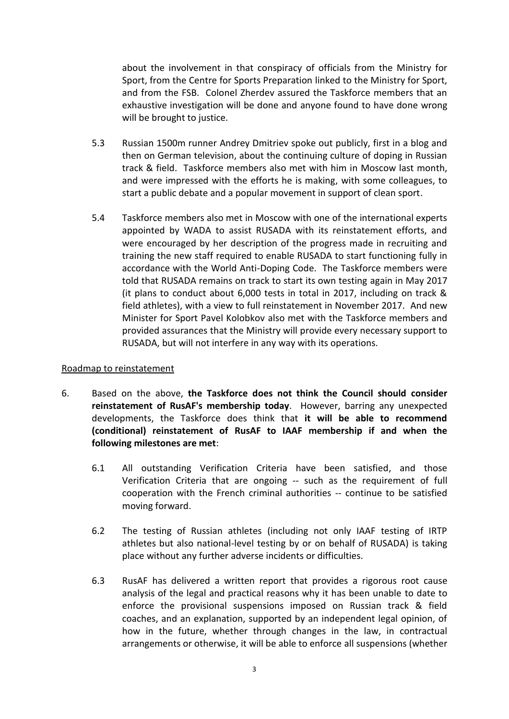about the involvement in that conspiracy of officials from the Ministry for Sport, from the Centre for Sports Preparation linked to the Ministry for Sport, and from the FSB. Colonel Zherdev assured the Taskforce members that an exhaustive investigation will be done and anyone found to have done wrong will be brought to justice.

- 5.3 Russian 1500m runner Andrey Dmitriev spoke out publicly, first in a blog and then on German television, about the continuing culture of doping in Russian track & field. Taskforce members also met with him in Moscow last month, and were impressed with the efforts he is making, with some colleagues, to start a public debate and a popular movement in support of clean sport.
- 5.4 Taskforce members also met in Moscow with one of the international experts appointed by WADA to assist RUSADA with its reinstatement efforts, and were encouraged by her description of the progress made in recruiting and training the new staff required to enable RUSADA to start functioning fully in accordance with the World Anti-Doping Code. The Taskforce members were told that RUSADA remains on track to start its own testing again in May 2017 (it plans to conduct about 6,000 tests in total in 2017, including on track & field athletes), with a view to full reinstatement in November 2017. And new Minister for Sport Pavel Kolobkov also met with the Taskforce members and provided assurances that the Ministry will provide every necessary support to RUSADA, but will not interfere in any way with its operations.

## Roadmap to reinstatement

- 6. Based on the above, **the Taskforce does not think the Council should consider reinstatement of RusAF's membership today**. However, barring any unexpected developments, the Taskforce does think that **it will be able to recommend (conditional) reinstatement of RusAF to IAAF membership if and when the following milestones are met**:
	- 6.1 All outstanding Verification Criteria have been satisfied, and those Verification Criteria that are ongoing -- such as the requirement of full cooperation with the French criminal authorities -- continue to be satisfied moving forward.
	- 6.2 The testing of Russian athletes (including not only IAAF testing of IRTP athletes but also national-level testing by or on behalf of RUSADA) is taking place without any further adverse incidents or difficulties.
	- 6.3 RusAF has delivered a written report that provides a rigorous root cause analysis of the legal and practical reasons why it has been unable to date to enforce the provisional suspensions imposed on Russian track & field coaches, and an explanation, supported by an independent legal opinion, of how in the future, whether through changes in the law, in contractual arrangements or otherwise, it will be able to enforce all suspensions (whether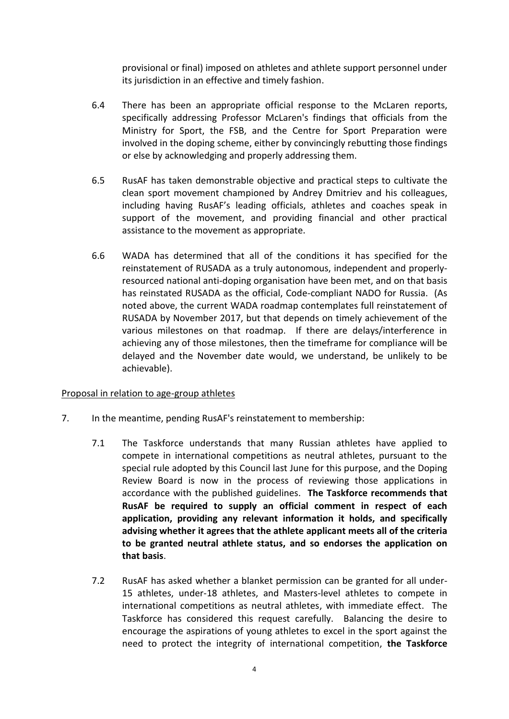provisional or final) imposed on athletes and athlete support personnel under its jurisdiction in an effective and timely fashion.

- 6.4 There has been an appropriate official response to the McLaren reports, specifically addressing Professor McLaren's findings that officials from the Ministry for Sport, the FSB, and the Centre for Sport Preparation were involved in the doping scheme, either by convincingly rebutting those findings or else by acknowledging and properly addressing them.
- 6.5 RusAF has taken demonstrable objective and practical steps to cultivate the clean sport movement championed by Andrey Dmitriev and his colleagues, including having RusAF's leading officials, athletes and coaches speak in support of the movement, and providing financial and other practical assistance to the movement as appropriate.
- 6.6 WADA has determined that all of the conditions it has specified for the reinstatement of RUSADA as a truly autonomous, independent and properlyresourced national anti-doping organisation have been met, and on that basis has reinstated RUSADA as the official, Code-compliant NADO for Russia. (As noted above, the current WADA roadmap contemplates full reinstatement of RUSADA by November 2017, but that depends on timely achievement of the various milestones on that roadmap. If there are delays/interference in achieving any of those milestones, then the timeframe for compliance will be delayed and the November date would, we understand, be unlikely to be achievable).

## Proposal in relation to age-group athletes

- 7. In the meantime, pending RusAF's reinstatement to membership:
	- 7.1 The Taskforce understands that many Russian athletes have applied to compete in international competitions as neutral athletes, pursuant to the special rule adopted by this Council last June for this purpose, and the Doping Review Board is now in the process of reviewing those applications in accordance with the published guidelines. **The Taskforce recommends that RusAF be required to supply an official comment in respect of each application, providing any relevant information it holds, and specifically advising whether it agrees that the athlete applicant meets all of the criteria to be granted neutral athlete status, and so endorses the application on that basis**.
	- 7.2 RusAF has asked whether a blanket permission can be granted for all under-15 athletes, under-18 athletes, and Masters-level athletes to compete in international competitions as neutral athletes, with immediate effect. The Taskforce has considered this request carefully. Balancing the desire to encourage the aspirations of young athletes to excel in the sport against the need to protect the integrity of international competition, **the Taskforce**